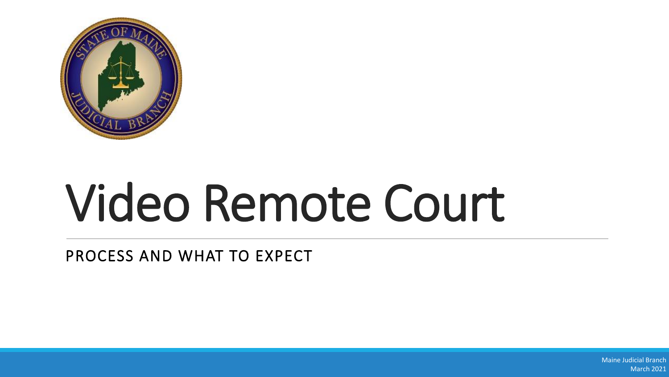

# Video Remote Court

PROCESS AND WHAT TO EXPECT

Maine Judicial Branch March 2021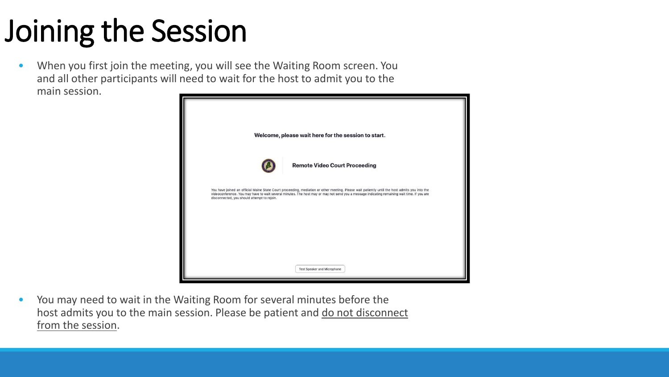## Joining the Session

• When you first join the meeting, you will see the Waiting Room screen. You and all other participants will need to wait for the host to admit you to the main session.



• You may need to wait in the Waiting Room for several minutes before the host admits you to the main session. Please be patient and do not disconnect from the session.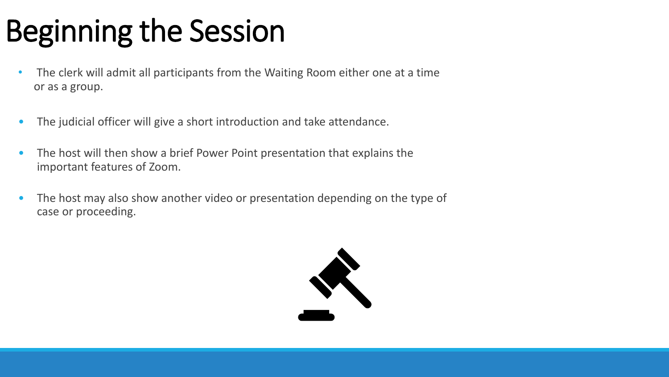## Beginning the Session

- The clerk will admit all participants from the Waiting Room either one at a time or as a group.
- The judicial officer will give a short introduction and take attendance.
- The host will then show a brief Power Point presentation that explains the important features of Zoom.
- The host may also show another video or presentation depending on the type of case or proceeding.

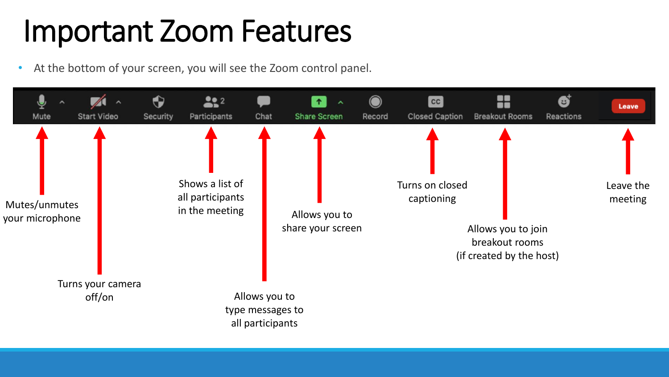#### Important Zoom Features

• At the bottom of your screen, you will see the Zoom control panel.

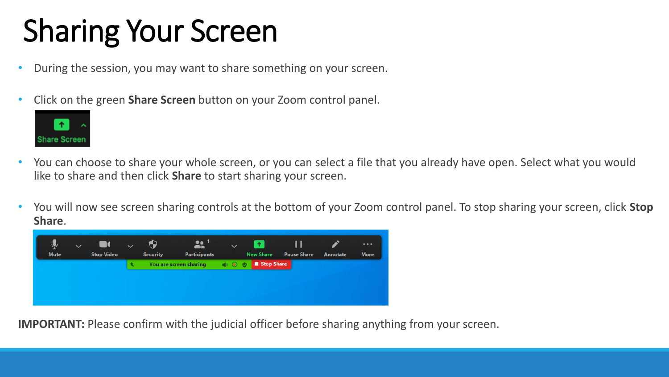## Sharing Your Screen

- During the session, you may want to share something on your screen.
- Click on the green **Share Screen** button on your Zoom control panel.



- You can choose to share your whole screen, or you can select a file that you already have open. Select what you would like to share and then click **Share** to start sharing your screen.
- You will now see screen sharing controls at the bottom of your Zoom control panel. To stop sharing your screen, click **Stop Share**.



**IMPORTANT:** Please confirm with the judicial officer before sharing anything from your screen.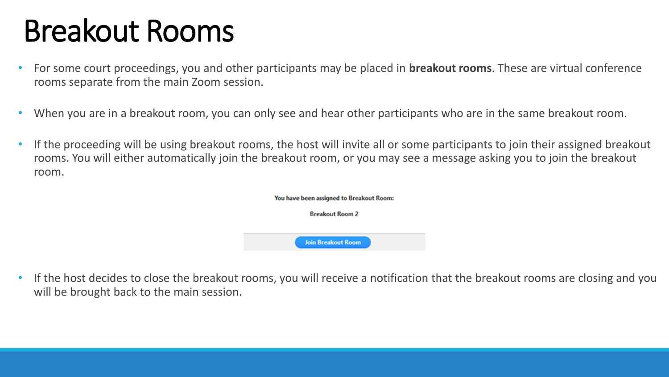#### Breakout Rooms

- For some court proceedings, you and other participants may be placed in **breakout rooms**. These are virtual conference rooms separate from the main Zoom session.
- When you are in a breakout room, you can only see and hear other participants who are in the same breakout room.
- If the proceeding will be using breakout rooms, the host will invite all or some participants to join their assigned breakout rooms. You will either automatically join the breakout room, or you may see a message asking you to join the breakout room.

| You have been assigned to Breakout Room:<br><b>Breakout Room 2</b> |  |  |
|--------------------------------------------------------------------|--|--|
|                                                                    |  |  |
| <b>Join Breakout Room</b>                                          |  |  |

• If the host decides to close the breakout rooms, you will receive a notification that the breakout rooms are closing and you will be brought back to the main session.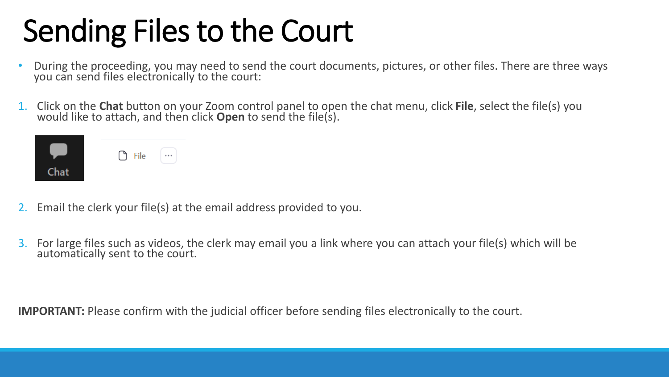## Sending Files to the Court

- During the proceeding, you may need to send the court documents, pictures, or other files. There are three ways you can send files electronically to the court:
- 1. Click on the **Chat** button on your Zoom control panel to open the chat menu, click **File**, select the file(s) you would like to attach, and then click **Open** to send the file(s).

|      | $\bigcirc$ File |  |
|------|-----------------|--|
| Chat |                 |  |

- 2. Email the clerk your file(s) at the email address provided to you.
- 3. For large files such as videos, the clerk may email you a link where you can attach your file(s) which will be automatically sent to the court.

**IMPORTANT:** Please confirm with the judicial officer before sending files electronically to the court.